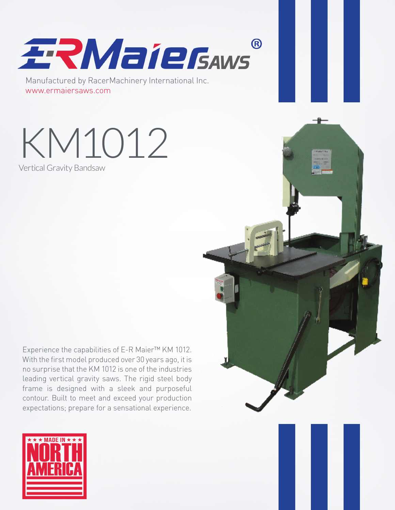

Manufactured by RacerMachinery International Inc. www.ermaiersaws.com

KM1012 Vertical Gravity Bandsaw

Experience the capabilities of E-R Maier™ KM 1012. With the first model produced over 30 years ago, it is no surprise that the KM 1012 is one of the industries leading vertical gravity saws. The rigid steel body frame is designed with a sleek and purposeful contour. Built to meet and exceed your production expectations; prepare for a sensational experience.